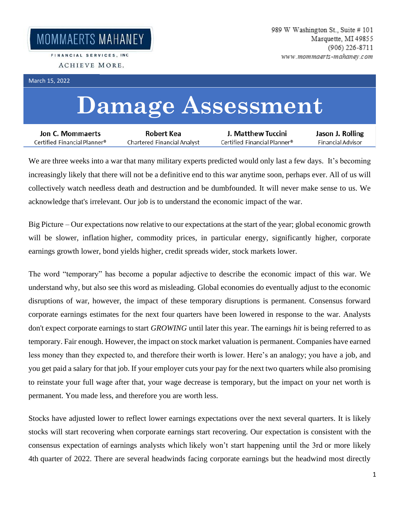FINANCIAL SERVICES, INC. ACHIEVE MORE.

March 15, 2022

## **Damage Assessment**

| Jon C. Mommaerts             | Robert Kea                  | J. Matthew Tuccini           | Jason J. Rolling  |
|------------------------------|-----------------------------|------------------------------|-------------------|
| Certified Financial Planner® | Chartered Financial Analyst | Certified Financial Planner® | Financial Advisor |

We are three weeks into a war that many military experts predicted would only last a few days. It's becoming increasingly likely that there will not be a definitive end to this war anytime soon, perhaps ever. All of us will collectively watch needless death and destruction and be dumbfounded. It will never make sense to us. We acknowledge that's irrelevant. Our job is to understand the economic impact of the war.

Big Picture – Our expectations now relative to our expectations at the start of the year; global economic growth will be slower, inflation higher, commodity prices, in particular energy, significantly higher, corporate earnings growth lower, bond yields higher, credit spreads wider, stock markets lower.

The word "temporary" has become a popular adjective to describe the economic impact of this war. We understand why, but also see this word as misleading. Global economies do eventually adjust to the economic disruptions of war, however, the impact of these temporary disruptions is permanent. Consensus forward corporate earnings estimates for the next four quarters have been lowered in response to the war. Analysts don't expect corporate earnings to start *GROWING* until later this year. The earnings *hit* is being referred to as temporary. Fair enough. However, the impact on stock market valuation is permanent. Companies have earned less money than they expected to, and therefore their worth is lower. Here's an analogy; you have a job, and you get paid a salary for that job. If your employer cuts your pay for the next two quarters while also promising to reinstate your full wage after that, your wage decrease is temporary, but the impact on your net worth is permanent. You made less, and therefore you are worth less.

Stocks have adjusted lower to reflect lower earnings expectations over the next several quarters. It is likely stocks will start recovering when corporate earnings start recovering. Our expectation is consistent with the consensus expectation of earnings analysts which likely won't start happening until the 3rd or more likely 4th quarter of 2022. There are several headwinds facing corporate earnings but the headwind most directly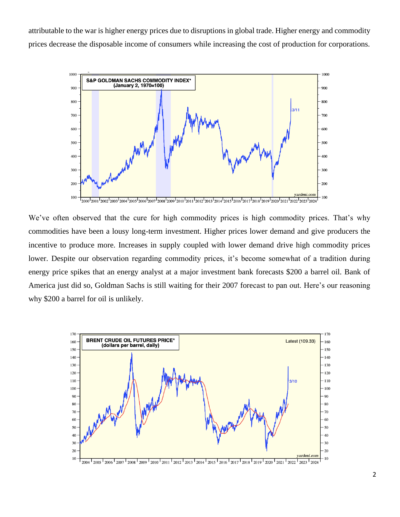attributable to the war is higher energy prices due to disruptions in global trade. Higher energy and commodity prices decrease the disposable income of consumers while increasing the cost of production for corporations.



We've often observed that the cure for high commodity prices is high commodity prices. That's why commodities have been a lousy long-term investment. Higher prices lower demand and give producers the incentive to produce more. Increases in supply coupled with lower demand drive high commodity prices lower. Despite our observation regarding commodity prices, it's become somewhat of a tradition during energy price spikes that an energy analyst at a major investment bank forecasts \$200 a barrel oil. Bank of America just did so, Goldman Sachs is still waiting for their 2007 forecast to pan out. Here's our reasoning why \$200 a barrel for oil is unlikely.

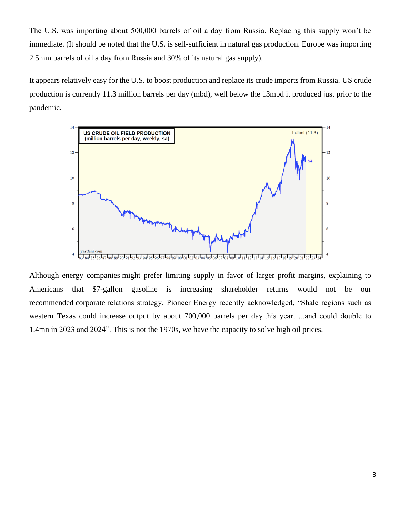The U.S. was importing about 500,000 barrels of oil a day from Russia. Replacing this supply won't be immediate. (It should be noted that the U.S. is self-sufficient in natural gas production. Europe was importing 2.5mm barrels of oil a day from Russia and 30% of its natural gas supply).

It appears relatively easy for the U.S. to boost production and replace its crude imports from Russia. US crude production is currently 11.3 million barrels per day (mbd), well below the 13mbd it produced just prior to the pandemic.



Although energy companies might prefer limiting supply in favor of larger profit margins, explaining to Americans that \$7-gallon gasoline is increasing shareholder returns would not be our recommended corporate relations strategy. Pioneer Energy recently acknowledged, "Shale regions such as western Texas could increase output by about 700,000 barrels per day this year…..and could double to 1.4mn in 2023 and 2024". This is not the 1970s, we have the capacity to solve high oil prices.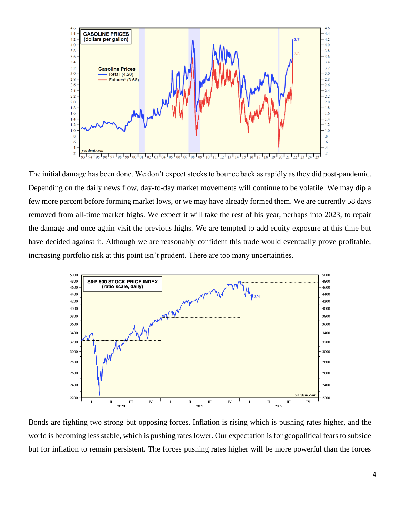

The initial damage has been done. We don't expect stocks to bounce back as rapidly as they did post-pandemic. Depending on the daily news flow, day-to-day market movements will continue to be volatile. We may dip a few more percent before forming market lows, or we may have already formed them. We are currently 58 days removed from all-time market highs. We expect it will take the rest of his year, perhaps into 2023, to repair the damage and once again visit the previous highs. We are tempted to add equity exposure at this time but have decided against it. Although we are reasonably confident this trade would eventually prove profitable, increasing portfolio risk at this point isn't prudent. There are too many uncertainties.



Bonds are fighting two strong but opposing forces. Inflation is rising which is pushing rates higher, and the world is becoming less stable, which is pushing rates lower. Our expectation is for geopolitical fears to subside but for inflation to remain persistent. The forces pushing rates higher will be more powerful than the forces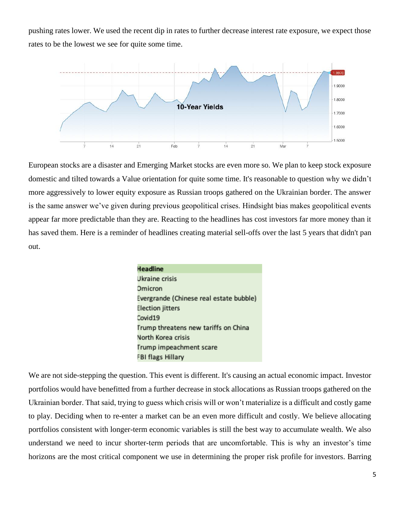pushing rates lower. We used the recent dip in rates to further decrease interest rate exposure, we expect those rates to be the lowest we see for quite some time.



European stocks are a disaster and Emerging Market stocks are even more so. We plan to keep stock exposure domestic and tilted towards a Value orientation for quite some time. It's reasonable to question why we didn't more aggressively to lower equity exposure as Russian troops gathered on the Ukrainian border. The answer is the same answer we've given during previous geopolitical crises. Hindsight bias makes geopolitical events appear far more predictable than they are. Reacting to the headlines has cost investors far more money than it has saved them. Here is a reminder of headlines creating material sell-offs over the last 5 years that didn't pan out.

| Headline                                |  |  |
|-----------------------------------------|--|--|
| Ukraine crisis                          |  |  |
| Omicron                                 |  |  |
| Evergrande (Chinese real estate bubble) |  |  |
| Election jitters                        |  |  |
| Covid19                                 |  |  |
| Trump threatens new tariffs on China    |  |  |
| North Korea crisis                      |  |  |
| Trump impeachment scare                 |  |  |
| FBI flags Hillary                       |  |  |
|                                         |  |  |

We are not side-stepping the question. This event is different. It's causing an actual economic impact. Investor portfolios would have benefitted from a further decrease in stock allocations as Russian troops gathered on the Ukrainian border. That said, trying to guess which crisis will or won't materialize is a difficult and costly game to play. Deciding when to re-enter a market can be an even more difficult and costly. We believe allocating portfolios consistent with longer-term economic variables is still the best way to accumulate wealth. We also understand we need to incur shorter-term periods that are uncomfortable. This is why an investor's time horizons are the most critical component we use in determining the proper risk profile for investors. Barring